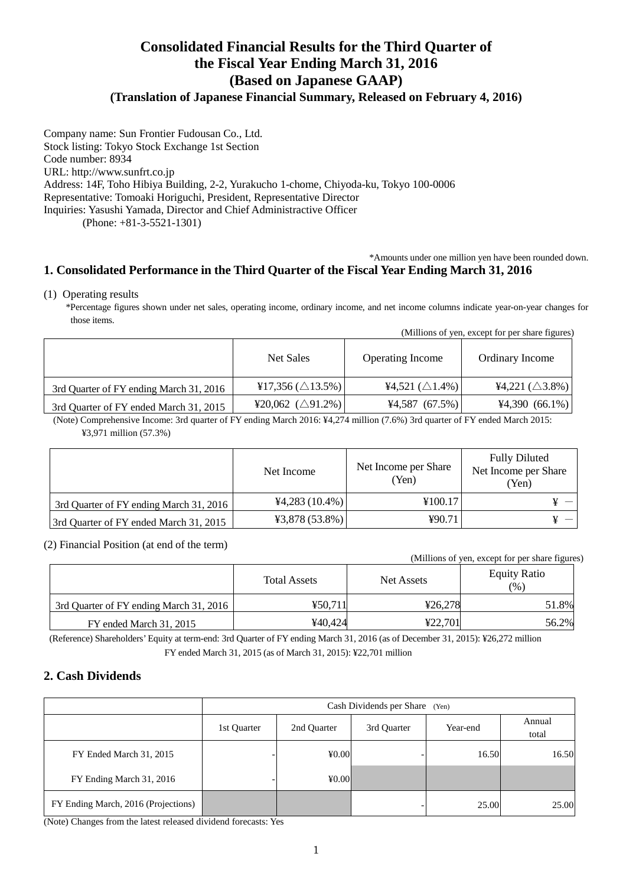# **Consolidated Financial Results for the Third Quarter of the Fiscal Year Ending March 31, 2016 (Based on Japanese GAAP)**

**(Translation of Japanese Financial Summary, Released on February 4, 2016)** 

Company name: Sun Frontier Fudousan Co., Ltd. Stock listing: Tokyo Stock Exchange 1st Section Code number: 8934 URL: http://www.sunfrt.co.jp Address: 14F, Toho Hibiya Building, 2-2, Yurakucho 1-chome, Chiyoda-ku, Tokyo 100-0006 Representative: Tomoaki Horiguchi, President, Representative Director Inquiries: Yasushi Yamada, Director and Chief Administractive Officer (Phone: +81-3-5521-1301)

# \*Amounts under one million yen have been rounded down.

# **1. Consolidated Performance in the Third Quarter of the Fiscal Year Ending March 31, 2016**

#### (1) Operating results

\*Percentage figures shown under net sales, operating income, ordinary income, and net income columns indicate year-on-year changes for those items.

|  | (Millions of yen, except for per share figures) |  |  |  |  |
|--|-------------------------------------------------|--|--|--|--|
|  |                                                 |  |  |  |  |

|                                         | Net Sales                    | <b>Operating Income</b>    | Ordinary Income            |
|-----------------------------------------|------------------------------|----------------------------|----------------------------|
| 3rd Quarter of FY ending March 31, 2016 | ¥17,356 ( $\triangle$ 13.5%) | ¥4,521 $(\triangle 1.4\%)$ | ¥4,221 $(\triangle 3.8\%)$ |
| 3rd Quarter of FY ended March 31, 2015  | ¥20,062 ( $\triangle$ 91.2%) | $4,587$ (67.5%)            | $4,390(66.1\%)$            |

(Note) Comprehensive Income: 3rd quarter of FY ending March 2016: ¥4,274 million (7.6%) 3rd quarter of FY ended March 2015: ¥3,971 million (57.3%)

|                                         | Net Income       | Net Income per Share<br>(Yen) | <b>Fully Diluted</b><br>Net Income per Share<br>(Yen) |
|-----------------------------------------|------------------|-------------------------------|-------------------------------------------------------|
| 3rd Quarter of FY ending March 31, 2016 | $44,283(10.4\%)$ | ¥100.17                       |                                                       |
| 3rd Quarter of FY ended March 31, 2015  | $43,878(53.8\%)$ | 490.71                        |                                                       |

#### (2) Financial Position (at end of the term)

(Millions of yen, except for per share figures)

|                                         | <b>Total Assets</b> | Net Assets | <b>Equity Ratio</b><br>(%) |
|-----------------------------------------|---------------------|------------|----------------------------|
| 3rd Quarter of FY ending March 31, 2016 | 450.711             | ¥26.278    | 51.8%                      |
| FY ended March 31, 2015                 | ¥40.424             | 422.701    | 56.2%                      |

(Reference) Shareholders' Equity at term-end: 3rd Quarter of FY ending March 31, 2016 (as of December 31, 2015): ¥26,272 million FY ended March 31, 2015 (as of March 31, 2015): ¥22,701 million

### **2. Cash Dividends**

|                                     | Cash Dividends per Share (Yen) |          |                 |       |       |  |
|-------------------------------------|--------------------------------|----------|-----------------|-------|-------|--|
|                                     | 1st Quarter                    | Year-end | Annual<br>total |       |       |  |
| FY Ended March 31, 2015             |                                | 40.00    |                 | 16.50 | 16.50 |  |
| FY Ending March 31, 2016            |                                | 40.00    |                 |       |       |  |
| FY Ending March, 2016 (Projections) |                                |          |                 | 25.00 | 25.00 |  |

(Note) Changes from the latest released dividend forecasts: Yes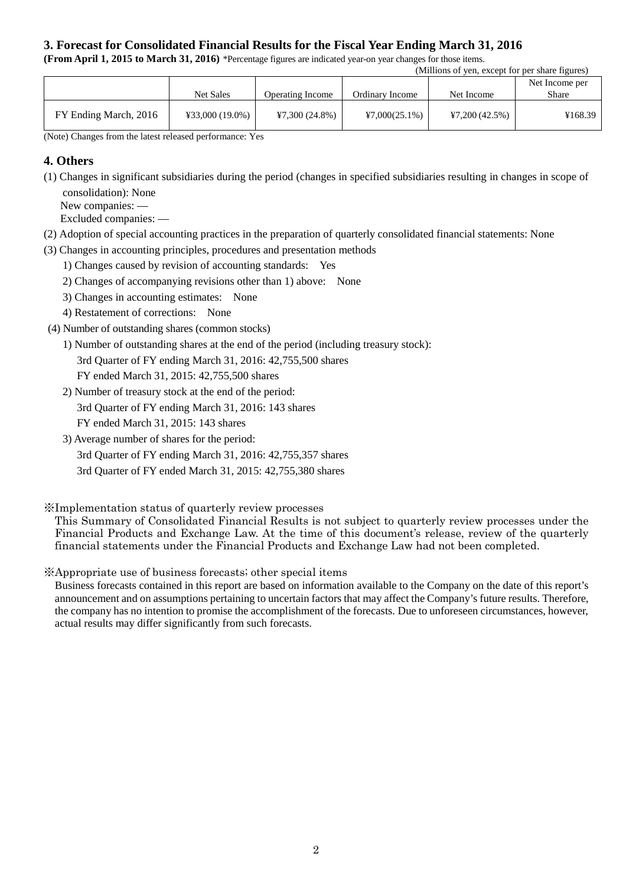## **3. Forecast for Consolidated Financial Results for the Fiscal Year Ending March 31, 2016**

**(From April 1, 2015 to March 31, 2016)** \*Percentage figures are indicated year-on year changes for those items.

| (Millions of yen, except for per share figures) |                   |                         |                  |                |         |
|-------------------------------------------------|-------------------|-------------------------|------------------|----------------|---------|
|                                                 |                   |                         |                  | Net Income per |         |
|                                                 | <b>Net Sales</b>  | <b>Operating Income</b> | Ordinary Income  | Net Income     | Share   |
| FY Ending March, 2016                           | $433,000(19.0\%)$ | $47,300(24.8\%)$        | $47,000(25.1\%)$ | 47,200(42.5%)  | ¥168.39 |

(Note) Changes from the latest released performance: Yes

### **4. Others**

(1) Changes in significant subsidiaries during the period (changes in specified subsidiaries resulting in changes in scope of consolidation): None

New companies: —

Excluded companies: —

- (2) Adoption of special accounting practices in the preparation of quarterly consolidated financial statements: None
- (3) Changes in accounting principles, procedures and presentation methods
	- 1) Changes caused by revision of accounting standards: Yes
	- 2) Changes of accompanying revisions other than 1) above: None
	- 3) Changes in accounting estimates: None
	- 4) Restatement of corrections: None
- (4) Number of outstanding shares (common stocks)
	- 1) Number of outstanding shares at the end of the period (including treasury stock):

3rd Quarter of FY ending March 31, 2016: 42,755,500 shares

FY ended March 31, 2015: 42,755,500 shares

- 2) Number of treasury stock at the end of the period: 3rd Quarter of FY ending March 31, 2016: 143 shares FY ended March 31, 2015: 143 shares
- 3) Average number of shares for the period: 3rd Quarter of FY ending March 31, 2016: 42,755,357 shares 3rd Quarter of FY ended March 31, 2015: 42,755,380 shares

### ※Implementation status of quarterly review processes

This Summary of Consolidated Financial Results is not subject to quarterly review processes under the Financial Products and Exchange Law. At the time of this document's release, review of the quarterly financial statements under the Financial Products and Exchange Law had not been completed.

※Appropriate use of business forecasts; other special items

Business forecasts contained in this report are based on information available to the Company on the date of this report's announcement and on assumptions pertaining to uncertain factors that may affect the Company's future results. Therefore, the company has no intention to promise the accomplishment of the forecasts. Due to unforeseen circumstances, however, actual results may differ significantly from such forecasts.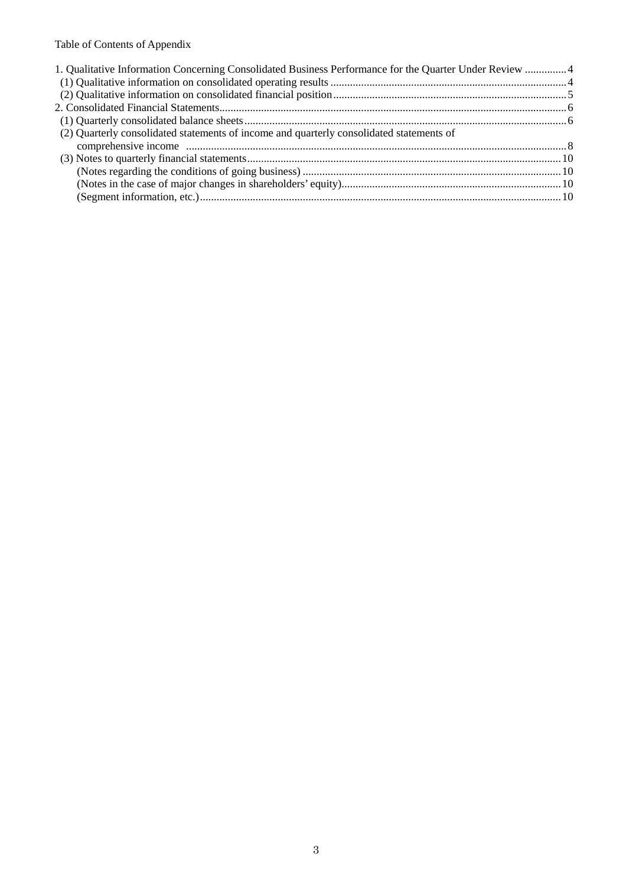# Table of Contents of Appendix

| 1. Qualitative Information Concerning Consolidated Business Performance for the Quarter Under Review 4 |  |
|--------------------------------------------------------------------------------------------------------|--|
|                                                                                                        |  |
|                                                                                                        |  |
|                                                                                                        |  |
|                                                                                                        |  |
| (2) Quarterly consolidated statements of income and quarterly consolidated statements of               |  |
|                                                                                                        |  |
|                                                                                                        |  |
|                                                                                                        |  |
|                                                                                                        |  |
|                                                                                                        |  |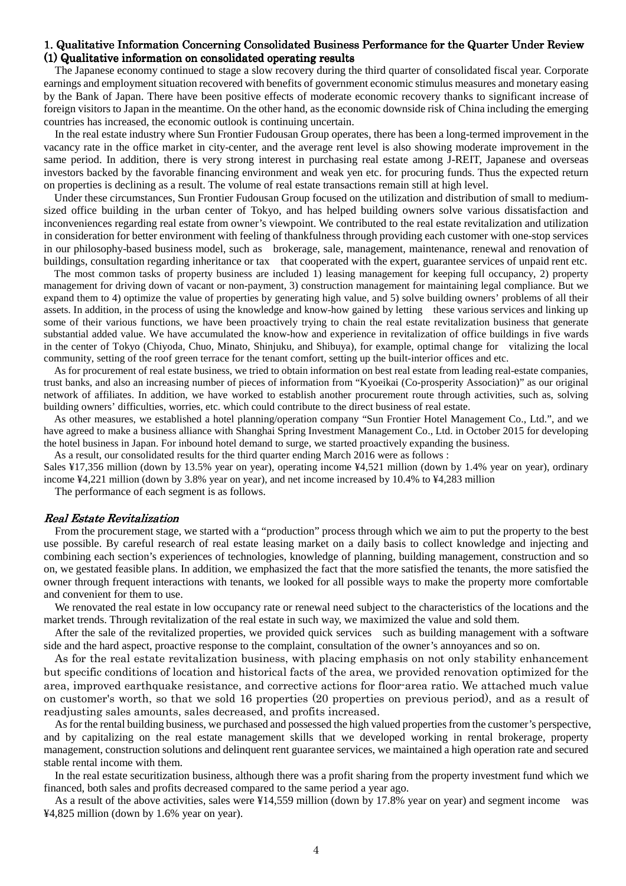#### 1. Qualitative Information Concerning Consolidated Business Performance for the Quarter Under Review  $(1)$  Qualitative information on consolidated operating results

The Japanese economy continued to stage a slow recovery during the third quarter of consolidated fiscal year. Corporate earnings and employment situation recovered with benefits of government economic stimulus measures and monetary easing by the Bank of Japan. There have been positive effects of moderate economic recovery thanks to significant increase of foreign visitors to Japan in the meantime. On the other hand, as the economic downside risk of China including the emerging countries has increased, the economic outlook is continuing uncertain.

In the real estate industry where Sun Frontier Fudousan Group operates, there has been a long-termed improvement in the vacancy rate in the office market in city-center, and the average rent level is also showing moderate improvement in the same period. In addition, there is very strong interest in purchasing real estate among J-REIT, Japanese and overseas investors backed by the favorable financing environment and weak yen etc. for procuring funds. Thus the expected return on properties is declining as a result. The volume of real estate transactions remain still at high level.

Under these circumstances, Sun Frontier Fudousan Group focused on the utilization and distribution of small to mediumsized office building in the urban center of Tokyo, and has helped building owners solve various dissatisfaction and inconveniences regarding real estate from owner's viewpoint. We contributed to the real estate revitalization and utilization in consideration for better environment with feeling of thankfulness through providing each customer with one-stop services in our philosophy-based business model, such as brokerage, sale, management, maintenance, renewal and renovation of buildings, consultation regarding inheritance or tax that cooperated with the expert, guarantee services of unpaid rent etc.

The most common tasks of property business are included 1) leasing management for keeping full occupancy, 2) property management for driving down of vacant or non-payment, 3) construction management for maintaining legal compliance. But we expand them to 4) optimize the value of properties by generating high value, and 5) solve building owners' problems of all their assets. In addition, in the process of using the knowledge and know-how gained by letting these various services and linking up some of their various functions, we have been proactively trying to chain the real estate revitalization business that generate substantial added value. We have accumulated the know-how and experience in revitalization of office buildings in five wards in the center of Tokyo (Chiyoda, Chuo, Minato, Shinjuku, and Shibuya), for example, optimal change for vitalizing the local community, setting of the roof green terrace for the tenant comfort, setting up the built-interior offices and etc.

As for procurement of real estate business, we tried to obtain information on best real estate from leading real-estate companies, trust banks, and also an increasing number of pieces of information from "Kyoeikai (Co-prosperity Association)" as our original network of affiliates. In addition, we have worked to establish another procurement route through activities, such as, solving building owners' difficulties, worries, etc. which could contribute to the direct business of real estate.

As other measures, we established a hotel planning/operation company "Sun Frontier Hotel Management Co., Ltd.", and we have agreed to make a business alliance with Shanghai Spring Investment Management Co., Ltd. in October 2015 for developing the hotel business in Japan. For inbound hotel demand to surge, we started proactively expanding the business.

As a result, our consolidated results for the third quarter ending March 2016 were as follows :

Sales ¥17,356 million (down by 13.5% year on year), operating income ¥4,521 million (down by 1.4% year on year), ordinary income ¥4,221 million (down by 3.8% year on year), and net income increased by 10.4% to ¥4,283 million

The performance of each segment is as follows.

#### Real Estate Revitalization

From the procurement stage, we started with a "production" process through which we aim to put the property to the best use possible. By careful research of real estate leasing market on a daily basis to collect knowledge and injecting and combining each section's experiences of technologies, knowledge of planning, building management, construction and so on, we gestated feasible plans. In addition, we emphasized the fact that the more satisfied the tenants, the more satisfied the owner through frequent interactions with tenants, we looked for all possible ways to make the property more comfortable and convenient for them to use.

We renovated the real estate in low occupancy rate or renewal need subject to the characteristics of the locations and the market trends. Through revitalization of the real estate in such way, we maximized the value and sold them.

After the sale of the revitalized properties, we provided quick services such as building management with a software side and the hard aspect, proactive response to the complaint, consultation of the owner's annoyances and so on.

As for the real estate revitalization business, with placing emphasis on not only stability enhancement but specific conditions of location and historical facts of the area, we provided renovation optimized for the area, improved earthquake resistance, and corrective actions for floor-area ratio. We attached much value on customer's worth, so that we sold 16 properties (20 properties on previous period), and as a result of readjusting sales amounts, sales decreased, and profits increased.

As for the rental building business, we purchased and possessed the high valued properties from the customer's perspective, and by capitalizing on the real estate management skills that we developed working in rental brokerage, property management, construction solutions and delinquent rent guarantee services, we maintained a high operation rate and secured stable rental income with them.

In the real estate securitization business, although there was a profit sharing from the property investment fund which we financed, both sales and profits decreased compared to the same period a year ago.

As a result of the above activities, sales were ¥14,559 million (down by 17.8% year on year) and segment income was ¥4,825 million (down by 1.6% year on year).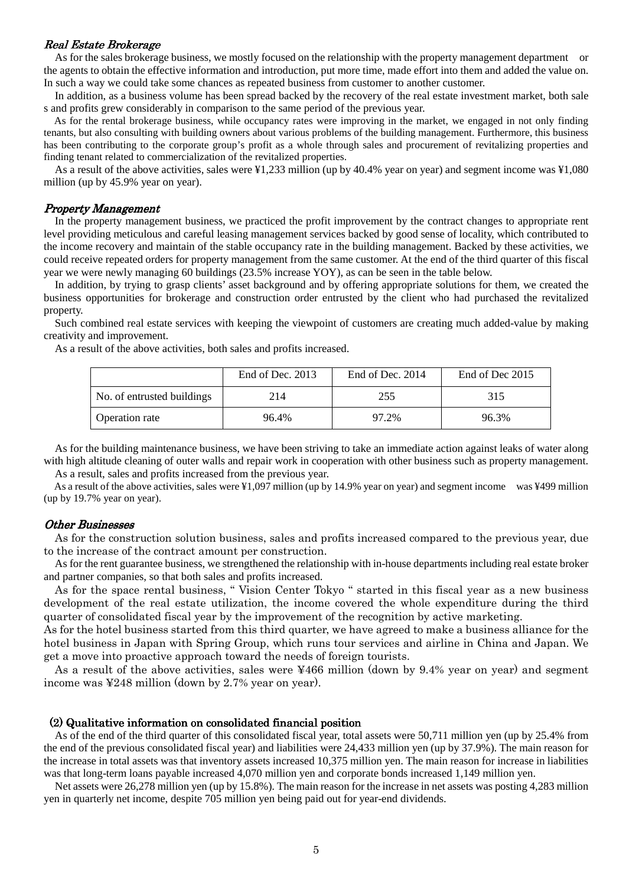#### Real Estate Brokerage

As for the sales brokerage business, we mostly focused on the relationship with the property management department or the agents to obtain the effective information and introduction, put more time, made effort into them and added the value on. In such a way we could take some chances as repeated business from customer to another customer.

In addition, as a business volume has been spread backed by the recovery of the real estate investment market, both sale s and profits grew considerably in comparison to the same period of the previous year.

As for the rental brokerage business, while occupancy rates were improving in the market, we engaged in not only finding tenants, but also consulting with building owners about various problems of the building management. Furthermore, this business has been contributing to the corporate group's profit as a whole through sales and procurement of revitalizing properties and finding tenant related to commercialization of the revitalized properties.

As a result of the above activities, sales were ¥1,233 million (up by 40.4% year on year) and segment income was ¥1,080 million (up by 45.9% year on year).

#### Property Management

In the property management business, we practiced the profit improvement by the contract changes to appropriate rent level providing meticulous and careful leasing management services backed by good sense of locality, which contributed to the income recovery and maintain of the stable occupancy rate in the building management. Backed by these activities, we could receive repeated orders for property management from the same customer. At the end of the third quarter of this fiscal year we were newly managing 60 buildings (23.5% increase YOY), as can be seen in the table below.

In addition, by trying to grasp clients' asset background and by offering appropriate solutions for them, we created the business opportunities for brokerage and construction order entrusted by the client who had purchased the revitalized property.

Such combined real estate services with keeping the viewpoint of customers are creating much added-value by making creativity and improvement.

As a result of the above activities, both sales and profits increased.

|                            | End of Dec. 2013 | End of Dec. 2014 | End of Dec 2015 |
|----------------------------|------------------|------------------|-----------------|
| No. of entrusted buildings | 214              | 255              | 315             |
| <b>Operation rate</b>      | 96.4%            | 97.2%            | 96.3%           |

As for the building maintenance business, we have been striving to take an immediate action against leaks of water along with high altitude cleaning of outer walls and repair work in cooperation with other business such as property management. As a result, sales and profits increased from the previous year.

As a result of the above activities, sales were ¥1,097 million (up by 14.9% year on year) and segment income was ¥499 million (up by 19.7% year on year).

#### **Other Businesses**

As for the construction solution business, sales and profits increased compared to the previous year, due to the increase of the contract amount per construction.

As for the rent guarantee business, we strengthened the relationship with in-house departments including real estate broker and partner companies, so that both sales and profits increased.

As for the space rental business, " Vision Center Tokyo " started in this fiscal year as a new business development of the real estate utilization, the income covered the whole expenditure during the third quarter of consolidated fiscal year by the improvement of the recognition by active marketing.

As for the hotel business started from this third quarter, we have agreed to make a business alliance for the hotel business in Japan with Spring Group, which runs tour services and airline in China and Japan. We get a move into proactive approach toward the needs of foreign tourists.

As a result of the above activities, sales were ¥466 million (down by 9.4% year on year) and segment income was ¥248 million (down by 2.7% year on year).

#### $(2)$  Qualitative information on consolidated financial position

As of the end of the third quarter of this consolidated fiscal year, total assets were 50,711 million yen (up by 25.4% from the end of the previous consolidated fiscal year) and liabilities were 24,433 million yen (up by 37.9%). The main reason for the increase in total assets was that inventory assets increased 10,375 million yen. The main reason for increase in liabilities was that long-term loans payable increased 4,070 million yen and corporate bonds increased 1,149 million yen.

 Net assets were 26,278 million yen (up by 15.8%). The main reason for the increase in net assets was posting 4,283 million yen in quarterly net income, despite 705 million yen being paid out for year-end dividends.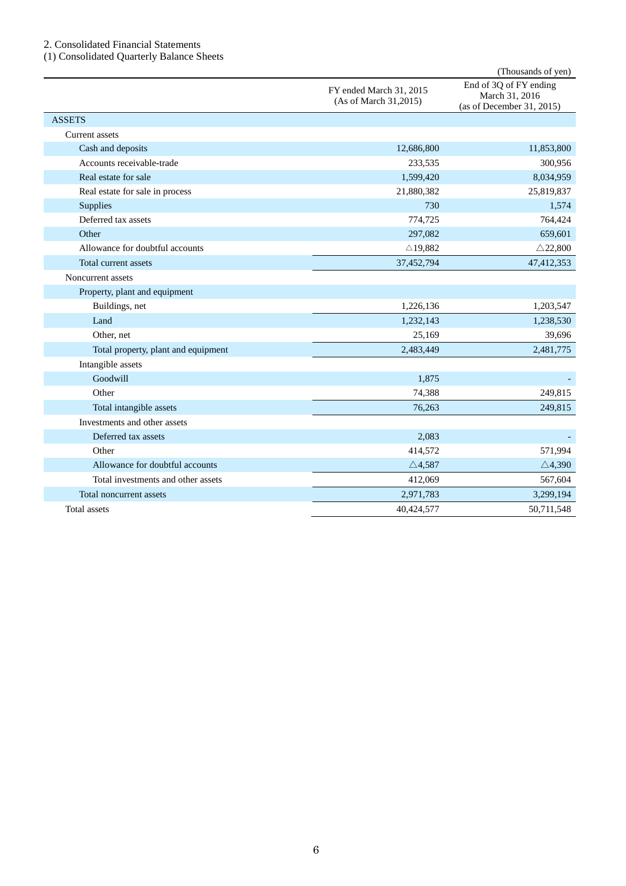#### 2. Consolidated Financial Statements

(1) Consolidated Quarterly Balance Sheets

|                                     |                                                  | (Thousands of yen)                                                    |
|-------------------------------------|--------------------------------------------------|-----------------------------------------------------------------------|
|                                     | FY ended March 31, 2015<br>(As of March 31,2015) | End of 3Q of FY ending<br>March 31, 2016<br>(as of December 31, 2015) |
| <b>ASSETS</b>                       |                                                  |                                                                       |
| Current assets                      |                                                  |                                                                       |
| Cash and deposits                   | 12,686,800                                       | 11,853,800                                                            |
| Accounts receivable-trade           | 233,535                                          | 300,956                                                               |
| Real estate for sale                | 1,599,420                                        | 8,034,959                                                             |
| Real estate for sale in process     | 21,880,382                                       | 25,819,837                                                            |
| <b>Supplies</b>                     | 730                                              | 1,574                                                                 |
| Deferred tax assets                 | 774,725                                          | 764,424                                                               |
| Other                               | 297,082                                          | 659,601                                                               |
| Allowance for doubtful accounts     | $\triangle$ 19,882                               | $\triangle$ 22,800                                                    |
| Total current assets                | 37,452,794                                       | 47,412,353                                                            |
| Noncurrent assets                   |                                                  |                                                                       |
| Property, plant and equipment       |                                                  |                                                                       |
| Buildings, net                      | 1,226,136                                        | 1,203,547                                                             |
| Land                                | 1,232,143                                        | 1,238,530                                                             |
| Other, net                          | 25,169                                           | 39,696                                                                |
| Total property, plant and equipment | 2,483,449                                        | 2,481,775                                                             |
| Intangible assets                   |                                                  |                                                                       |
| Goodwill                            | 1,875                                            |                                                                       |
| Other                               | 74,388                                           | 249,815                                                               |
| Total intangible assets             | 76,263                                           | 249,815                                                               |
| Investments and other assets        |                                                  |                                                                       |
| Deferred tax assets                 | 2,083                                            |                                                                       |
| Other                               | 414,572                                          | 571,994                                                               |
| Allowance for doubtful accounts     | $\triangle$ 4,587                                | $\triangle$ 4,390                                                     |
| Total investments and other assets  | 412,069                                          | 567,604                                                               |
| Total noncurrent assets             | 2,971,783                                        | 3,299,194                                                             |
| Total assets                        | 40,424,577                                       | 50,711,548                                                            |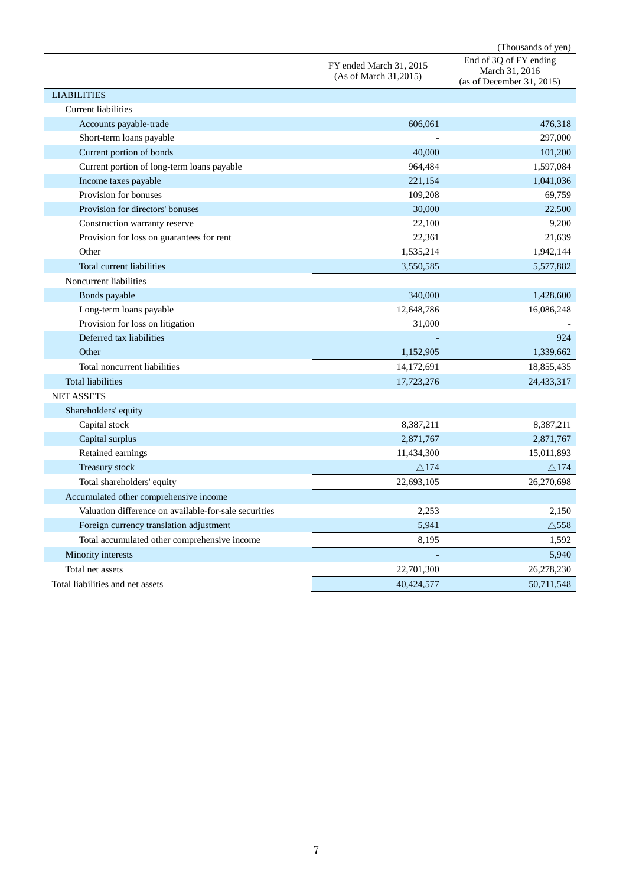|                                                       |                                                  | (Thousands of yen)                                                    |
|-------------------------------------------------------|--------------------------------------------------|-----------------------------------------------------------------------|
|                                                       | FY ended March 31, 2015<br>(As of March 31,2015) | End of 3Q of FY ending<br>March 31, 2016<br>(as of December 31, 2015) |
| <b>LIABILITIES</b>                                    |                                                  |                                                                       |
| <b>Current liabilities</b>                            |                                                  |                                                                       |
| Accounts payable-trade                                | 606,061                                          | 476,318                                                               |
| Short-term loans payable                              |                                                  | 297,000                                                               |
| Current portion of bonds                              | 40,000                                           | 101,200                                                               |
| Current portion of long-term loans payable            | 964,484                                          | 1,597,084                                                             |
| Income taxes payable                                  | 221,154                                          | 1,041,036                                                             |
| Provision for bonuses                                 | 109,208                                          | 69,759                                                                |
| Provision for directors' bonuses                      | 30,000                                           | 22,500                                                                |
| Construction warranty reserve                         | 22,100                                           | 9,200                                                                 |
| Provision for loss on guarantees for rent             | 22,361                                           | 21,639                                                                |
| Other                                                 | 1,535,214                                        | 1,942,144                                                             |
| Total current liabilities                             | 3,550,585                                        | 5,577,882                                                             |
| Noncurrent liabilities                                |                                                  |                                                                       |
| Bonds payable                                         | 340,000                                          | 1,428,600                                                             |
| Long-term loans payable                               | 12,648,786                                       | 16,086,248                                                            |
| Provision for loss on litigation                      | 31,000                                           |                                                                       |
| Deferred tax liabilities                              |                                                  | 924                                                                   |
| Other                                                 | 1,152,905                                        | 1,339,662                                                             |
| Total noncurrent liabilities                          | 14,172,691                                       | 18,855,435                                                            |
| <b>Total liabilities</b>                              | 17,723,276                                       | 24,433,317                                                            |
| <b>NET ASSETS</b>                                     |                                                  |                                                                       |
| Shareholders' equity                                  |                                                  |                                                                       |
| Capital stock                                         | 8,387,211                                        | 8,387,211                                                             |
| Capital surplus                                       | 2,871,767                                        | 2,871,767                                                             |
| Retained earnings                                     | 11,434,300                                       | 15,011,893                                                            |
| Treasury stock                                        | $\triangle$ 174                                  | $\triangle$ 174                                                       |
| Total shareholders' equity                            | 22,693,105                                       | 26,270,698                                                            |
| Accumulated other comprehensive income                |                                                  |                                                                       |
| Valuation difference on available-for-sale securities | 2,253                                            | 2,150                                                                 |
| Foreign currency translation adjustment               | 5,941                                            | $\triangle$ 558                                                       |
| Total accumulated other comprehensive income          | 8,195                                            | 1,592                                                                 |
| Minority interests                                    |                                                  | 5,940                                                                 |
| Total net assets                                      | 22,701,300                                       | 26,278,230                                                            |
| Total liabilities and net assets                      | 40,424,577                                       | 50,711,548                                                            |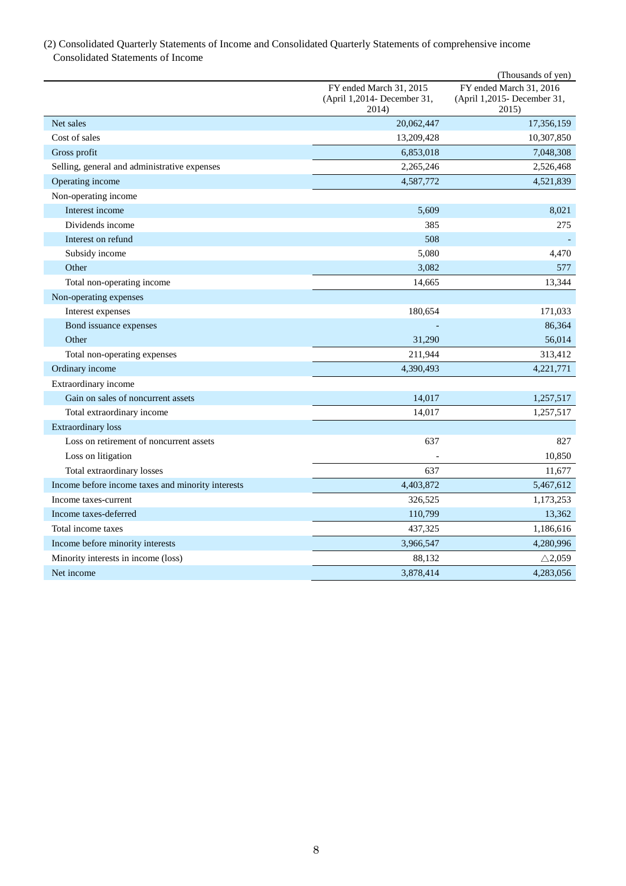## (2) Consolidated Quarterly Statements of Income and Consolidated Quarterly Statements of comprehensive income Consolidated Statements of Income

|                                                   |                                                                 | (Thousands of yen)                                              |
|---------------------------------------------------|-----------------------------------------------------------------|-----------------------------------------------------------------|
|                                                   | FY ended March 31, 2015<br>(April 1,2014- December 31,<br>2014) | FY ended March 31, 2016<br>(April 1,2015- December 31,<br>2015) |
| Net sales                                         | 20,062,447                                                      | 17,356,159                                                      |
| Cost of sales                                     | 13,209,428                                                      | 10,307,850                                                      |
| Gross profit                                      | 6,853,018                                                       | 7,048,308                                                       |
| Selling, general and administrative expenses      | 2,265,246                                                       | 2,526,468                                                       |
| Operating income                                  | 4,587,772                                                       | 4,521,839                                                       |
| Non-operating income                              |                                                                 |                                                                 |
| Interest income                                   | 5,609                                                           | 8,021                                                           |
| Dividends income                                  | 385                                                             | 275                                                             |
| Interest on refund                                | 508                                                             |                                                                 |
| Subsidy income                                    | 5,080                                                           | 4,470                                                           |
| Other                                             | 3,082                                                           | 577                                                             |
| Total non-operating income                        | 14,665                                                          | 13,344                                                          |
| Non-operating expenses                            |                                                                 |                                                                 |
| Interest expenses                                 | 180,654                                                         | 171,033                                                         |
| Bond issuance expenses                            |                                                                 | 86,364                                                          |
| Other                                             | 31,290                                                          | 56,014                                                          |
| Total non-operating expenses                      | 211,944                                                         | 313,412                                                         |
| Ordinary income                                   | 4,390,493                                                       | 4,221,771                                                       |
| Extraordinary income                              |                                                                 |                                                                 |
| Gain on sales of noncurrent assets                | 14,017                                                          | 1,257,517                                                       |
| Total extraordinary income                        | 14,017                                                          | 1,257,517                                                       |
| <b>Extraordinary</b> loss                         |                                                                 |                                                                 |
| Loss on retirement of noncurrent assets           | 637                                                             | 827                                                             |
| Loss on litigation                                |                                                                 | 10,850                                                          |
| Total extraordinary losses                        | 637                                                             | 11,677                                                          |
| Income before income taxes and minority interests | 4,403,872                                                       | 5,467,612                                                       |
| Income taxes-current                              | 326,525                                                         | 1,173,253                                                       |
| Income taxes-deferred                             | 110,799                                                         | 13,362                                                          |
| Total income taxes                                | 437,325                                                         | 1,186,616                                                       |
| Income before minority interests                  | 3,966,547                                                       | 4,280,996                                                       |
| Minority interests in income (loss)               | 88,132                                                          | $\triangle$ 2,059                                               |
| Net income                                        | 3,878,414                                                       | 4,283,056                                                       |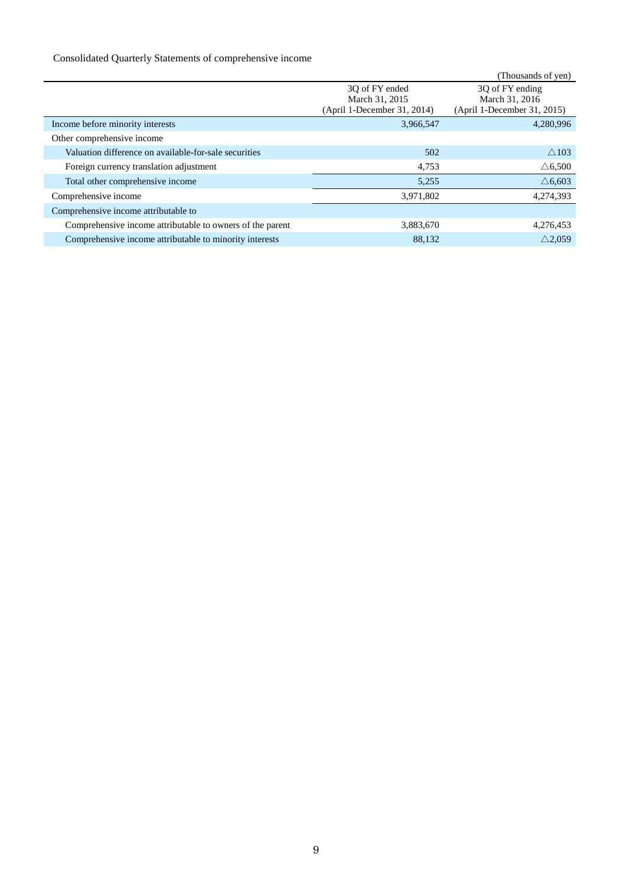# Consolidated Quarterly Statements of comprehensive income

|                                                           |                             | (Thousands of yen)          |
|-----------------------------------------------------------|-----------------------------|-----------------------------|
|                                                           | 30 of FY ended              | 3Q of FY ending             |
|                                                           | March 31, 2015              | March 31, 2016              |
|                                                           | (April 1-December 31, 2014) | (April 1-December 31, 2015) |
| Income before minority interests                          | 3,966,547                   | 4,280,996                   |
| Other comprehensive income                                |                             |                             |
| Valuation difference on available-for-sale securities     | 502                         | $\wedge$ 103                |
| Foreign currency translation adjustment                   | 4,753                       | $\triangle$ 6,500           |
| Total other comprehensive income                          | 5,255                       | $\triangle$ 6.603           |
| Comprehensive income                                      | 3,971,802                   | 4,274,393                   |
| Comprehensive income attributable to                      |                             |                             |
| Comprehensive income attributable to owners of the parent | 3,883,670                   | 4,276,453                   |
| Comprehensive income attributable to minority interests   | 88,132                      | $\triangle$ 2.059           |